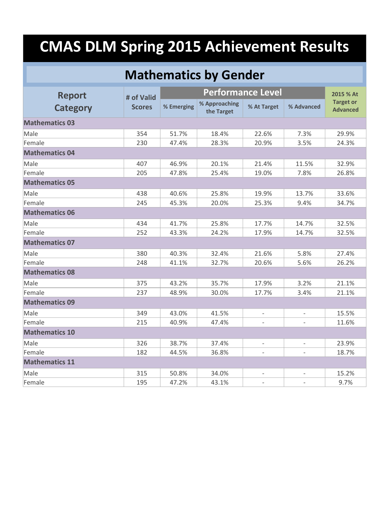#### **Mathematics by Gender**

| <b>Report</b>         | # of Valid    |            |                             | 2015 % At                |                          |                                     |  |  |  |
|-----------------------|---------------|------------|-----------------------------|--------------------------|--------------------------|-------------------------------------|--|--|--|
| <b>Category</b>       | <b>Scores</b> | % Emerging | % Approaching<br>the Target | % At Target              | % Advanced               | <b>Target or</b><br><b>Advanced</b> |  |  |  |
| <b>Mathematics 03</b> |               |            |                             |                          |                          |                                     |  |  |  |
| Male                  | 354           | 51.7%      | 18.4%                       | 22.6%                    | 7.3%                     | 29.9%                               |  |  |  |
| Female                | 230           | 47.4%      | 28.3%                       | 20.9%                    | 3.5%                     | 24.3%                               |  |  |  |
| <b>Mathematics 04</b> |               |            |                             |                          |                          |                                     |  |  |  |
| Male                  | 407           | 46.9%      | 20.1%                       | 21.4%                    | 11.5%                    | 32.9%                               |  |  |  |
| Female                | 205           | 47.8%      | 25.4%                       | 19.0%                    | 7.8%                     | 26.8%                               |  |  |  |
| <b>Mathematics 05</b> |               |            |                             |                          |                          |                                     |  |  |  |
| Male                  | 438           | 40.6%      | 25.8%                       | 19.9%                    | 13.7%                    | 33.6%                               |  |  |  |
| Female                | 245           | 45.3%      | 20.0%                       | 25.3%                    | 9.4%                     | 34.7%                               |  |  |  |
| <b>Mathematics 06</b> |               |            |                             |                          |                          |                                     |  |  |  |
| Male                  | 434           | 41.7%      | 25.8%                       | 17.7%                    | 14.7%                    | 32.5%                               |  |  |  |
| Female                | 252           | 43.3%      | 24.2%                       | 17.9%                    | 14.7%                    | 32.5%                               |  |  |  |
| <b>Mathematics 07</b> |               |            |                             |                          |                          |                                     |  |  |  |
| Male                  | 380           | 40.3%      | 32.4%                       | 21.6%                    | 5.8%                     | 27.4%                               |  |  |  |
| Female                | 248           | 41.1%      | 32.7%                       | 20.6%                    | 5.6%                     | 26.2%                               |  |  |  |
| <b>Mathematics 08</b> |               |            |                             |                          |                          |                                     |  |  |  |
| Male                  | 375           | 43.2%      | 35.7%                       | 17.9%                    | 3.2%                     | 21.1%                               |  |  |  |
| Female                | 237           | 48.9%      | 30.0%                       | 17.7%                    | 3.4%                     | 21.1%                               |  |  |  |
| <b>Mathematics 09</b> |               |            |                             |                          |                          |                                     |  |  |  |
| Male                  | 349           | 43.0%      | 41.5%                       | $\overline{a}$           | $\overline{a}$           | 15.5%                               |  |  |  |
| Female                | 215           | 40.9%      | 47.4%                       |                          |                          | 11.6%                               |  |  |  |
| <b>Mathematics 10</b> |               |            |                             |                          |                          |                                     |  |  |  |
| Male                  | 326           | 38.7%      | 37.4%                       | $\bar{\phantom{a}}$      | $\bar{\phantom{a}}$      | 23.9%                               |  |  |  |
| Female                | 182           | 44.5%      | 36.8%                       | $\bar{\phantom{a}}$      | $\overline{a}$           | 18.7%                               |  |  |  |
| <b>Mathematics 11</b> |               |            |                             |                          |                          |                                     |  |  |  |
| Male                  | 315           | 50.8%      | 34.0%                       | $\overline{\phantom{0}}$ | $\overline{\phantom{a}}$ | 15.2%                               |  |  |  |
| Female                | 195           | 47.2%      | 43.1%                       |                          |                          | 9.7%                                |  |  |  |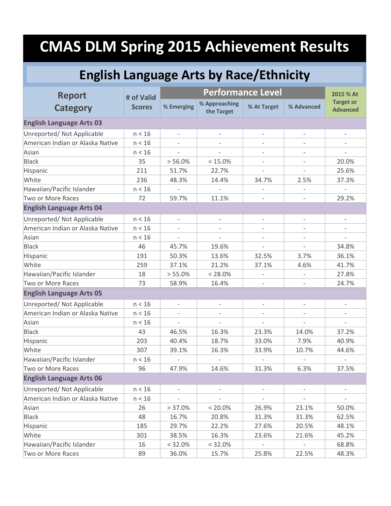#### **English Language Arts by Race/Ethnicity**

| <b>Report</b>                    | # of Valid    |                          |                             | 2015 % At                |                          |                                     |
|----------------------------------|---------------|--------------------------|-----------------------------|--------------------------|--------------------------|-------------------------------------|
| <b>Category</b>                  | <b>Scores</b> | % Emerging               | % Approaching<br>the Target | % At Target              | % Advanced               | <b>Target or</b><br><b>Advanced</b> |
| <b>English Language Arts 03</b>  |               |                          |                             |                          |                          |                                     |
| Unreported/ Not Applicable       | n < 16        |                          |                             | $\overline{\phantom{0}}$ | $\overline{\phantom{a}}$ | $\overline{\phantom{a}}$            |
| American Indian or Alaska Native | n < 16        |                          |                             |                          |                          |                                     |
| Asian                            | n < 16        |                          |                             | $\overline{\phantom{0}}$ |                          |                                     |
| <b>Black</b>                     | 35            | > 56.0%                  | $< 15.0\%$                  | $\bar{\phantom{a}}$      | $\overline{\phantom{a}}$ | 20.0%                               |
| Hispanic                         | 211           | 51.7%                    | 22.7%                       | $\bar{\phantom{a}}$      | $\overline{\phantom{0}}$ | 25.6%                               |
| White                            | 236           | 48.3%                    | 14.4%                       | 34.7%                    | 2.5%                     | 37.3%                               |
| Hawaiian/Pacific Islander        | n < 16        |                          |                             |                          |                          |                                     |
| Two or More Races                | 72            | 59.7%                    | 11.1%                       | $\overline{a}$           |                          | 29.2%                               |
| <b>English Language Arts 04</b>  |               |                          |                             |                          |                          |                                     |
| Unreported/ Not Applicable       | n < 16        | $\overline{\phantom{a}}$ | $\overline{\phantom{a}}$    | $\overline{\phantom{a}}$ | $\overline{\phantom{a}}$ | $\overline{\phantom{a}}$            |
| American Indian or Alaska Native | n < 16        |                          |                             |                          |                          |                                     |
| Asian                            | n < 16        |                          |                             | $\overline{\phantom{0}}$ | $\bar{\phantom{a}}$      | $\overline{a}$                      |
| <b>Black</b>                     | 46            | 45.7%                    | 19.6%                       | $\overline{\phantom{0}}$ | $\overline{a}$           | 34.8%                               |
| Hispanic                         | 191           | 50.3%                    | 13.6%                       | 32.5%                    | 3.7%                     | 36.1%                               |
| White                            | 259           | 37.1%                    | 21.2%                       | 37.1%                    | 4.6%                     | 41.7%                               |
| Hawaiian/Pacific Islander        | 18            | > 55.0%                  | $< 28.0\%$                  | $\bar{\phantom{a}}$      | $\overline{\phantom{0}}$ | 27.8%                               |
| Two or More Races                | 73            | 58.9%                    | 16.4%                       |                          |                          | 24.7%                               |
| <b>English Language Arts 05</b>  |               |                          |                             |                          |                          |                                     |
| Unreported/ Not Applicable       | n < 16        |                          |                             |                          |                          |                                     |
| American Indian or Alaska Native | n < 16        |                          |                             |                          |                          |                                     |
| Asian                            | n < 16        | $\overline{\phantom{a}}$ | $\overline{\phantom{a}}$    | $\bar{\phantom{a}}$      | $\overline{a}$           | $\overline{\phantom{a}}$            |
| <b>Black</b>                     | 43            | 46.5%                    | 16.3%                       | 23.3%                    | 14.0%                    | 37.2%                               |
| Hispanic                         | 203           | 40.4%                    | 18.7%                       | 33.0%                    | 7.9%                     | 40.9%                               |
| White                            | 307           | 39.1%                    | 16.3%                       | 33.9%                    | 10.7%                    | 44.6%                               |
| Hawaiian/Pacific Islander        | n < 16        |                          |                             |                          |                          |                                     |
| Two or More Races                | 96            | 47.9%                    | 14.6%                       | 31.3%                    | 6.3%                     | 37.5%                               |
| <b>English Language Arts 06</b>  |               |                          |                             |                          |                          |                                     |
| Unreported/ Not Applicable       | n < 16        |                          | $\overline{\phantom{0}}$    | $\overline{\phantom{0}}$ | $\overline{\phantom{0}}$ | $\overline{\phantom{a}}$            |
| American Indian or Alaska Native | n < 16        |                          |                             |                          |                          |                                     |
| Asian                            | 26            | > 37.0%                  | $< 20.0\%$                  | 26.9%                    | 23.1%                    | 50.0%                               |
| <b>Black</b>                     | 48            | 16.7%                    | 20.8%                       | 31.3%                    | 31.3%                    | 62.5%                               |
| Hispanic                         | 185           | 29.7%                    | 22.2%                       | 27.6%                    | 20.5%                    | 48.1%                               |
| White                            | 301           | 38.5%                    | 16.3%                       | 23.6%                    | 21.6%                    | 45.2%                               |
| Hawaiian/Pacific Islander        | 16            | $< 32.0\%$               | $< 32.0\%$                  |                          |                          | 68.8%                               |
| Two or More Races                | 89            | 36.0%                    | 15.7%                       | 25.8%                    | 22.5%                    | 48.3%                               |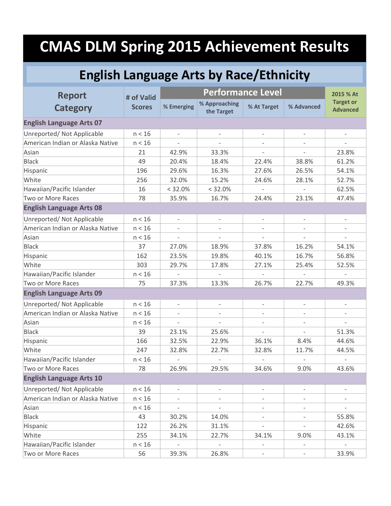#### **English Language Arts by Race/Ethnicity**

| <b>Report</b>                    | # of Valid    |                          | <b>Performance Level</b>    |                          |                          | 2015 % At                           |
|----------------------------------|---------------|--------------------------|-----------------------------|--------------------------|--------------------------|-------------------------------------|
| <b>Category</b>                  | <b>Scores</b> | % Emerging               | % Approaching<br>the Target | % At Target              | % Advanced               | <b>Target or</b><br><b>Advanced</b> |
| <b>English Language Arts 07</b>  |               |                          |                             |                          |                          |                                     |
| Unreported/ Not Applicable       | n < 16        | $\overline{\phantom{a}}$ | $\overline{\phantom{a}}$    | $\overline{\phantom{0}}$ | $\overline{\phantom{0}}$ | $\overline{\phantom{a}}$            |
| American Indian or Alaska Native | n < 16        |                          |                             |                          |                          |                                     |
| Asian                            | 21            | 42.9%                    | 33.3%                       |                          |                          | 23.8%                               |
| <b>Black</b>                     | 49            | 20.4%                    | 18.4%                       | 22.4%                    | 38.8%                    | 61.2%                               |
| Hispanic                         | 196           | 29.6%                    | 16.3%                       | 27.6%                    | 26.5%                    | 54.1%                               |
| White                            | 256           | 32.0%                    | 15.2%                       | 24.6%                    | 28.1%                    | 52.7%                               |
| Hawaiian/Pacific Islander        | 16            | < 32.0%                  | < 32.0%                     |                          |                          | 62.5%                               |
| Two or More Races                | 78            | 35.9%                    | 16.7%                       | 24.4%                    | 23.1%                    | 47.4%                               |
| <b>English Language Arts 08</b>  |               |                          |                             |                          |                          |                                     |
| Unreported/ Not Applicable       | n < 16        | $\overline{\phantom{a}}$ | $\overline{\phantom{a}}$    | $\bar{\phantom{a}}$      | $\overline{\phantom{a}}$ | $\overline{\phantom{a}}$            |
| American Indian or Alaska Native | n < 16        |                          |                             | $\overline{\phantom{a}}$ |                          | $\overline{\phantom{a}}$            |
| Asian                            | n < 16        | $\overline{\phantom{a}}$ | $\overline{\phantom{a}}$    | $\bar{\phantom{a}}$      | $\overline{\phantom{a}}$ | $\overline{\phantom{a}}$            |
| <b>Black</b>                     | 37            | 27.0%                    | 18.9%                       | 37.8%                    | 16.2%                    | 54.1%                               |
| Hispanic                         | 162           | 23.5%                    | 19.8%                       | 40.1%                    | 16.7%                    | 56.8%                               |
| White                            | 303           | 29.7%                    | 17.8%                       | 27.1%                    | 25.4%                    | 52.5%                               |
| Hawaiian/Pacific Islander        | n < 16        |                          |                             |                          |                          |                                     |
| Two or More Races                | 75            | 37.3%                    | 13.3%                       | 26.7%                    | 22.7%                    | 49.3%                               |
| <b>English Language Arts 09</b>  |               |                          |                             |                          |                          |                                     |
| Unreported/ Not Applicable       | n < 16        |                          |                             |                          |                          |                                     |
| American Indian or Alaska Native | n < 16        |                          |                             |                          |                          | $\bar{}$                            |
| Asian                            | n < 16        | $\overline{\phantom{a}}$ | $\overline{\phantom{a}}$    | $\overline{\phantom{a}}$ | $\overline{\phantom{a}}$ | $\overline{\phantom{a}}$            |
| <b>Black</b>                     | 39            | 23.1%                    | 25.6%                       |                          |                          | 51.3%                               |
| Hispanic                         | 166           | 32.5%                    | 22.9%                       | 36.1%                    | 8.4%                     | 44.6%                               |
| White                            | 247           | 32.8%                    | 22.7%                       | 32.8%                    | 11.7%                    | 44.5%                               |
| Hawaiian/Pacific Islander        | n < 16        |                          |                             |                          |                          |                                     |
| Two or More Races                | 78            | 26.9%                    | 29.5%                       | 34.6%                    | 9.0%                     | 43.6%                               |
| <b>English Language Arts 10</b>  |               |                          |                             |                          |                          |                                     |
| Unreported/ Not Applicable       | n < 16        |                          |                             | $\qquad \qquad -$        | $\overline{\phantom{0}}$ |                                     |
| American Indian or Alaska Native | n < 16        |                          |                             |                          |                          | $\qquad \qquad -$                   |
| Asian                            | n < 16        |                          |                             |                          |                          |                                     |
| <b>Black</b>                     | 43            | 30.2%                    | 14.0%                       |                          |                          | 55.8%                               |
| Hispanic                         | 122           | 26.2%                    | 31.1%                       |                          | $\overline{a}$           | 42.6%                               |
| White                            | 255           | 34.1%                    | 22.7%                       | 34.1%                    | 9.0%                     | 43.1%                               |
| Hawaiian/Pacific Islander        | n < 16        |                          |                             | $\qquad \qquad -$        | $\overline{\phantom{0}}$ |                                     |
| Two or More Races                | 56            | 39.3%                    | 26.8%                       |                          |                          | 33.9%                               |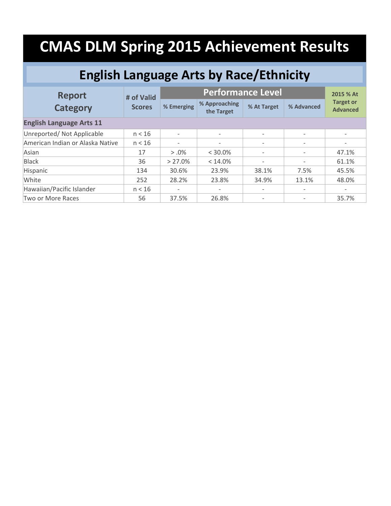#### **English Language Arts by Race/Ethnicity**

| <b>Report</b><br><b>Category</b> | # of Valid<br><b>Scores</b> |                              | 2015 % At                   |                          |                          |                                     |  |  |
|----------------------------------|-----------------------------|------------------------------|-----------------------------|--------------------------|--------------------------|-------------------------------------|--|--|
|                                  |                             | % Emerging                   | % Approaching<br>the Target | % At Target              | % Advanced               | <b>Target or</b><br><b>Advanced</b> |  |  |
| <b>English Language Arts 11</b>  |                             |                              |                             |                          |                          |                                     |  |  |
| Unreported/ Not Applicable       | n < 16                      | $\overline{\phantom{0}}$     | $\overline{\phantom{0}}$    | $\overline{\phantom{a}}$ | $\overline{\phantom{a}}$ | $\overline{\phantom{a}}$            |  |  |
| American Indian or Alaska Native | n < 16                      | $\overline{\phantom{a}}$     | $\overline{\phantom{a}}$    | $\overline{\phantom{a}}$ | $\overline{\phantom{a}}$ | $\overline{\phantom{a}}$            |  |  |
| Asian                            | 17                          | $> 0.0\%$                    | $<$ 30.0%                   | $\overline{\phantom{a}}$ | $\overline{\phantom{a}}$ | 47.1%                               |  |  |
| <b>Black</b>                     | 36                          | > 27.0%                      | $< 14.0\%$                  | $\overline{\phantom{a}}$ |                          | 61.1%                               |  |  |
| Hispanic                         | 134                         | 30.6%                        | 23.9%                       | 38.1%                    | 7.5%                     | 45.5%                               |  |  |
| White                            | 252                         | 28.2%                        | 23.8%                       | 34.9%                    | 13.1%                    | 48.0%                               |  |  |
| Hawaiian/Pacific Islander        | n < 16                      | $\qquad \qquad \blacksquare$ | $\overline{\phantom{a}}$    | $\overline{\phantom{a}}$ | $\overline{\phantom{a}}$ | $\overline{\phantom{a}}$            |  |  |
| Two or More Races                | 56                          | 37.5%                        | 26.8%                       | $\overline{\phantom{a}}$ |                          | 35.7%                               |  |  |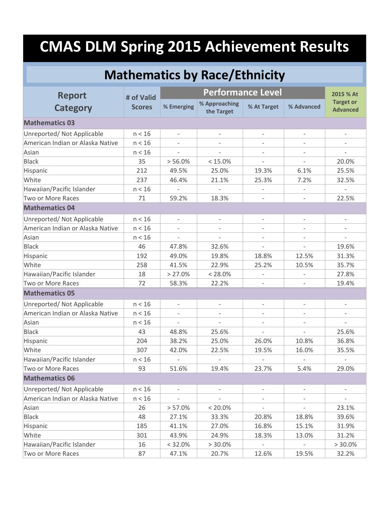| <b>Mathematics by Race/Ethnicity</b> |               |                          |                             |                          |                          |                                     |  |  |
|--------------------------------------|---------------|--------------------------|-----------------------------|--------------------------|--------------------------|-------------------------------------|--|--|
| <b>Report</b>                        | # of Valid    |                          | <b>Performance Level</b>    |                          |                          |                                     |  |  |
| <b>Category</b>                      | <b>Scores</b> | % Emerging               | % Approaching<br>the Target | % At Target              | % Advanced               | <b>Target or</b><br><b>Advanced</b> |  |  |
| <b>Mathematics 03</b>                |               |                          |                             |                          |                          |                                     |  |  |
| Unreported/ Not Applicable           | n < 16        |                          |                             | $\overline{\phantom{a}}$ |                          | $\overline{\phantom{0}}$            |  |  |
| American Indian or Alaska Native     | n < 16        |                          |                             | $\overline{\phantom{a}}$ |                          |                                     |  |  |
| Asian                                | n < 16        |                          |                             |                          |                          |                                     |  |  |
| <b>Black</b>                         | 35            | > 56.0%                  | $< 15.0\%$                  |                          |                          | 20.0%                               |  |  |
| Hispanic                             | 212           | 49.5%                    | 25.0%                       | 19.3%                    | 6.1%                     | 25.5%                               |  |  |
| White                                | 237           | 46.4%                    | 21.1%                       | 25.3%                    | 7.2%                     | 32.5%                               |  |  |
| Hawaiian/Pacific Islander            | n < 16        |                          |                             | $\overline{\phantom{m}}$ | $\overline{\phantom{a}}$ | $\bar{}$                            |  |  |
| Two or More Races                    | 71            | 59.2%                    | 18.3%                       |                          |                          | 22.5%                               |  |  |
| <b>Mathematics 04</b>                |               |                          |                             |                          |                          |                                     |  |  |
| Unreported/ Not Applicable           | n < 16        |                          |                             | $\overline{\phantom{0}}$ | $\overline{\phantom{a}}$ | $\overline{\phantom{0}}$            |  |  |
| American Indian or Alaska Native     | n < 16        |                          |                             |                          |                          |                                     |  |  |
| Asian                                | n < 16        |                          |                             |                          |                          |                                     |  |  |
| <b>Black</b>                         | 46            | 47.8%                    | 32.6%                       | $\bar{\phantom{a}}$      |                          | 19.6%                               |  |  |
| Hispanic                             | 192           | 49.0%                    | 19.8%                       | 18.8%                    | 12.5%                    | 31.3%                               |  |  |
| White                                | 258           | 41.5%                    | 22.9%                       | 25.2%                    | 10.5%                    | 35.7%                               |  |  |
| Hawaiian/Pacific Islander            | 18            | > 27.0%                  | $< 28.0\%$                  |                          |                          | 27.8%                               |  |  |
| Two or More Races                    | 72            | 58.3%                    | 22.2%                       |                          |                          | 19.4%                               |  |  |
| <b>Mathematics 05</b>                |               |                          |                             |                          |                          |                                     |  |  |
| Unreported/ Not Applicable           | n < 16        | $\overline{\phantom{a}}$ | $\overline{\phantom{a}}$    | $\overline{\phantom{a}}$ | $\overline{\phantom{a}}$ | $\overline{\phantom{a}}$            |  |  |
| American Indian or Alaska Native     | n < 16        |                          |                             |                          |                          |                                     |  |  |
| Asian                                | n < 16        |                          |                             |                          |                          |                                     |  |  |
| <b>Black</b>                         | 43            | 48.8%                    | 25.6%                       |                          |                          | 25.6%                               |  |  |
| Hispanic                             | 204           | 38.2%                    | 25.0%                       | 26.0%                    | 10.8%                    | 36.8%                               |  |  |
| White                                | 307           | 42.0%                    | 22.5%                       | 19.5%                    | 16.0%                    | 35.5%                               |  |  |
| Hawaiian/Pacific Islander            | n < 16        |                          |                             |                          |                          |                                     |  |  |
| Two or More Races                    | 93            | 51.6%                    | 19.4%                       | 23.7%                    | 5.4%                     | 29.0%                               |  |  |
| <b>Mathematics 06</b>                |               |                          |                             |                          |                          |                                     |  |  |
| Unreported/ Not Applicable           | n < 16        | $\overline{\phantom{a}}$ |                             |                          |                          | $\bar{}$                            |  |  |
| American Indian or Alaska Native     | n < 16        |                          |                             |                          |                          |                                     |  |  |
| Asian                                | 26            | > 57.0%                  | $< 20.0\%$                  | $\qquad \qquad -$        | $\qquad \qquad -$        | 23.1%                               |  |  |
| <b>Black</b>                         | 48            | 27.1%                    | 33.3%                       | 20.8%                    | 18.8%                    | 39.6%                               |  |  |
| Hispanic                             | 185           | 41.1%                    | 27.0%                       | 16.8%                    | 15.1%                    | 31.9%                               |  |  |
| White                                | 301           | 43.9%                    | 24.9%                       | 18.3%                    | 13.0%                    | 31.2%                               |  |  |
| Hawaiian/Pacific Islander            | 16            | $< 32.0\%$               | > 30.0%                     |                          |                          | $> 30.0\%$                          |  |  |
| Two or More Races                    | 87            | 47.1%                    | 20.7%                       | 12.6%                    | 19.5%                    | 32.2%                               |  |  |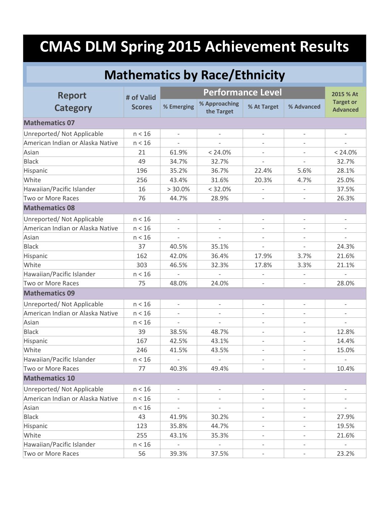| <b>Mathematics by Race/Ethnicity</b> |               |                          |                             |                          |                          |                                     |  |
|--------------------------------------|---------------|--------------------------|-----------------------------|--------------------------|--------------------------|-------------------------------------|--|
| <b>Report</b>                        | # of Valid    |                          | <b>Performance Level</b>    |                          |                          |                                     |  |
| <b>Category</b>                      | <b>Scores</b> | % Emerging               | % Approaching<br>the Target | % At Target              | % Advanced               | <b>Target or</b><br><b>Advanced</b> |  |
| <b>Mathematics 07</b>                |               |                          |                             |                          |                          |                                     |  |
| Unreported/ Not Applicable           | n < 16        |                          |                             | $\overline{\phantom{a}}$ | $\overline{\phantom{a}}$ |                                     |  |
| American Indian or Alaska Native     | n < 16        |                          | $\overline{\phantom{a}}$    | $\overline{\phantom{a}}$ | $\overline{\phantom{0}}$ |                                     |  |
| Asian                                | 21            | 61.9%                    | $< 24.0\%$                  |                          |                          | < 24.0%                             |  |
| <b>Black</b>                         | 49            | 34.7%                    | 32.7%                       |                          |                          | 32.7%                               |  |
| Hispanic                             | 196           | 35.2%                    | 36.7%                       | 22.4%                    | 5.6%                     | 28.1%                               |  |
| White                                | 256           | 43.4%                    | 31.6%                       | 20.3%                    | 4.7%                     | 25.0%                               |  |
| Hawaiian/Pacific Islander            | 16            | > 30.0%                  | < 32.0%                     | $\overline{a}$           | $\overline{\phantom{a}}$ | 37.5%                               |  |
| Two or More Races                    | 76            | 44.7%                    | 28.9%                       |                          |                          | 26.3%                               |  |
| <b>Mathematics 08</b>                |               |                          |                             |                          |                          |                                     |  |
| Unreported/ Not Applicable           | n < 16        | $\overline{\phantom{a}}$ | $\overline{\phantom{a}}$    | $\overline{\phantom{a}}$ | $\overline{\phantom{a}}$ | $\qquad \qquad -$                   |  |
| American Indian or Alaska Native     | n < 16        |                          |                             |                          |                          |                                     |  |
| Asian                                | n < 16        |                          |                             |                          |                          |                                     |  |
| <b>Black</b>                         | 37            | 40.5%                    | 35.1%                       | $\overline{\phantom{0}}$ |                          | 24.3%                               |  |
| Hispanic                             | 162           | 42.0%                    | 36.4%                       | 17.9%                    | 3.7%                     | 21.6%                               |  |
| White                                | 303           | 46.5%                    | 32.3%                       | 17.8%                    | 3.3%                     | 21.1%                               |  |
| Hawaiian/Pacific Islander            | n < 16        |                          |                             |                          |                          |                                     |  |
| Two or More Races                    | 75            | 48.0%                    | 24.0%                       |                          |                          | 28.0%                               |  |
| <b>Mathematics 09</b>                |               |                          |                             |                          |                          |                                     |  |
| Unreported/ Not Applicable           | n < 16        | $\overline{\phantom{a}}$ | $\overline{\phantom{a}}$    | $\overline{\phantom{a}}$ | $\overline{\phantom{a}}$ | $\overline{\phantom{a}}$            |  |
| American Indian or Alaska Native     | n < 16        |                          |                             |                          |                          |                                     |  |
| Asian                                | n < 16        |                          |                             | $\qquad \qquad -$        |                          |                                     |  |
| <b>Black</b>                         | 39            | 38.5%                    | 48.7%                       |                          |                          | 12.8%                               |  |
| Hispanic                             | 167           | 42.5%                    | 43.1%                       | $\overline{\phantom{a}}$ |                          | 14.4%                               |  |
| White                                | 246           | 41.5%                    | 43.5%                       |                          |                          | 15.0%                               |  |
| Hawaiian/Pacific Islander            | n < 16        |                          |                             | $\qquad \qquad -$        |                          |                                     |  |
| Two or More Races                    | 77            | 40.3%                    | 49.4%                       |                          |                          | 10.4%                               |  |
| <b>Mathematics 10</b>                |               |                          |                             |                          |                          |                                     |  |
| Unreported/ Not Applicable           | n < 16        |                          |                             |                          |                          |                                     |  |
| American Indian or Alaska Native     | n < 16        |                          |                             |                          |                          |                                     |  |
| Asian                                | n < 16        | $\overline{\phantom{a}}$ | $\overline{\phantom{a}}$    | $\overline{\phantom{a}}$ | $\overline{\phantom{a}}$ | $\bar{}$                            |  |
| <b>Black</b>                         | 43            | 41.9%                    | 30.2%                       |                          |                          | 27.9%                               |  |
| Hispanic                             | 123           | 35.8%                    | 44.7%                       | $\overline{\phantom{a}}$ | $\overline{\phantom{a}}$ | 19.5%                               |  |
| White                                | 255           | 43.1%                    | 35.3%                       |                          |                          | 21.6%                               |  |
| Hawaiian/Pacific Islander            | n < 16        |                          |                             | $\qquad \qquad -$        |                          |                                     |  |
| Two or More Races                    | 56            | 39.3%                    | 37.5%                       | $\overline{\phantom{a}}$ | $\overline{\phantom{a}}$ | 23.2%                               |  |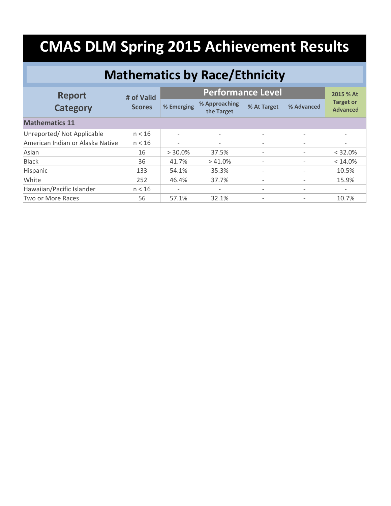| <b>Mathematics by Race/Ethnicity</b> |               |                          |                             |                          |                          |                                     |  |  |
|--------------------------------------|---------------|--------------------------|-----------------------------|--------------------------|--------------------------|-------------------------------------|--|--|
| <b>Report</b>                        | # of Valid    |                          | <b>Performance Level</b>    |                          |                          |                                     |  |  |
| <b>Category</b>                      | <b>Scores</b> | % Emerging               | % Approaching<br>the Target | % At Target              | % Advanced               | <b>Target or</b><br><b>Advanced</b> |  |  |
| <b>Mathematics 11</b>                |               |                          |                             |                          |                          |                                     |  |  |
| Unreported/ Not Applicable           | n < 16        |                          |                             | $\overline{\phantom{a}}$ | $\overline{\phantom{a}}$ | $\overline{\phantom{a}}$            |  |  |
| American Indian or Alaska Native     | n < 16        |                          |                             | $\overline{\phantom{a}}$ |                          |                                     |  |  |
| Asian                                | 16            | $> 30.0\%$               | 37.5%                       | $\overline{\phantom{a}}$ |                          | < 32.0%                             |  |  |
| <b>Black</b>                         | 36            | 41.7%                    | $>41.0\%$                   | $\overline{\phantom{a}}$ |                          | $< 14.0\%$                          |  |  |
| Hispanic                             | 133           | 54.1%                    | 35.3%                       | $\overline{\phantom{a}}$ | $\qquad \qquad$          | 10.5%                               |  |  |
| White                                | 252           | 46.4%                    | 37.7%                       | $\qquad \qquad -$        | $\overline{\phantom{a}}$ | 15.9%                               |  |  |
| Hawaiian/Pacific Islander            | n < 16        | $\overline{\phantom{0}}$ |                             | $\overline{\phantom{a}}$ | $\overline{\phantom{a}}$ | $\overline{\phantom{a}}$            |  |  |
| Two or More Races                    | 56            | 57.1%                    | 32.1%                       | $\overline{\phantom{a}}$ |                          | 10.7%                               |  |  |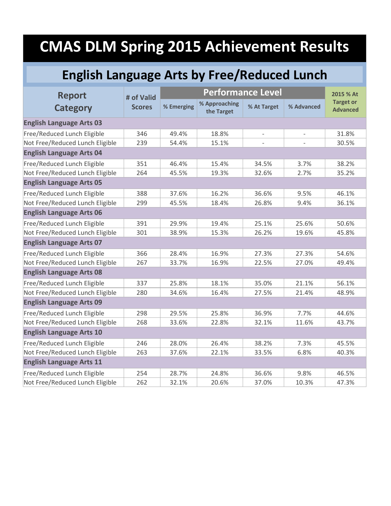#### **English Language Arts by Free/Reduced Lunch**

| <b>Report</b>                   | # of Valid    |            | 2015 % At                   |                          |                          |                                     |  |  |  |
|---------------------------------|---------------|------------|-----------------------------|--------------------------|--------------------------|-------------------------------------|--|--|--|
| <b>Category</b>                 | <b>Scores</b> | % Emerging | % Approaching<br>the Target | % At Target              | % Advanced               | <b>Target or</b><br><b>Advanced</b> |  |  |  |
| <b>English Language Arts 03</b> |               |            |                             |                          |                          |                                     |  |  |  |
| Free/Reduced Lunch Eligible     | 346           | 49.4%      | 18.8%                       | $\overline{\phantom{m}}$ | $\overline{\phantom{a}}$ | 31.8%                               |  |  |  |
| Not Free/Reduced Lunch Eligible | 239           | 54.4%      | 15.1%                       |                          |                          | 30.5%                               |  |  |  |
| <b>English Language Arts 04</b> |               |            |                             |                          |                          |                                     |  |  |  |
| Free/Reduced Lunch Eligible     | 351           | 46.4%      | 15.4%                       | 34.5%                    | 3.7%                     | 38.2%                               |  |  |  |
| Not Free/Reduced Lunch Eligible | 264           | 45.5%      | 19.3%                       | 32.6%                    | 2.7%                     | 35.2%                               |  |  |  |
| <b>English Language Arts 05</b> |               |            |                             |                          |                          |                                     |  |  |  |
| Free/Reduced Lunch Eligible     | 388           | 37.6%      | 16.2%                       | 36.6%                    | 9.5%                     | 46.1%                               |  |  |  |
| Not Free/Reduced Lunch Eligible | 299           | 45.5%      | 18.4%                       | 26.8%                    | 9.4%                     | 36.1%                               |  |  |  |
| <b>English Language Arts 06</b> |               |            |                             |                          |                          |                                     |  |  |  |
| Free/Reduced Lunch Eligible     | 391           | 29.9%      | 19.4%                       | 25.1%                    | 25.6%                    | 50.6%                               |  |  |  |
| Not Free/Reduced Lunch Eligible | 301           | 38.9%      | 15.3%                       | 26.2%                    | 19.6%                    | 45.8%                               |  |  |  |
| <b>English Language Arts 07</b> |               |            |                             |                          |                          |                                     |  |  |  |
| Free/Reduced Lunch Eligible     | 366           | 28.4%      | 16.9%                       | 27.3%                    | 27.3%                    | 54.6%                               |  |  |  |
| Not Free/Reduced Lunch Eligible | 267           | 33.7%      | 16.9%                       | 22.5%                    | 27.0%                    | 49.4%                               |  |  |  |
| <b>English Language Arts 08</b> |               |            |                             |                          |                          |                                     |  |  |  |
| Free/Reduced Lunch Eligible     | 337           | 25.8%      | 18.1%                       | 35.0%                    | 21.1%                    | 56.1%                               |  |  |  |
| Not Free/Reduced Lunch Eligible | 280           | 34.6%      | 16.4%                       | 27.5%                    | 21.4%                    | 48.9%                               |  |  |  |
| <b>English Language Arts 09</b> |               |            |                             |                          |                          |                                     |  |  |  |
| Free/Reduced Lunch Eligible     | 298           | 29.5%      | 25.8%                       | 36.9%                    | 7.7%                     | 44.6%                               |  |  |  |
| Not Free/Reduced Lunch Eligible | 268           | 33.6%      | 22.8%                       | 32.1%                    | 11.6%                    | 43.7%                               |  |  |  |
| <b>English Language Arts 10</b> |               |            |                             |                          |                          |                                     |  |  |  |
| Free/Reduced Lunch Eligible     | 246           | 28.0%      | 26.4%                       | 38.2%                    | 7.3%                     | 45.5%                               |  |  |  |
| Not Free/Reduced Lunch Eligible | 263           | 37.6%      | 22.1%                       | 33.5%                    | 6.8%                     | 40.3%                               |  |  |  |
| <b>English Language Arts 11</b> |               |            |                             |                          |                          |                                     |  |  |  |
| Free/Reduced Lunch Eligible     | 254           | 28.7%      | 24.8%                       | 36.6%                    | 9.8%                     | 46.5%                               |  |  |  |
| Not Free/Reduced Lunch Eligible | 262           | 32.1%      | 20.6%                       | 37.0%                    | 10.3%                    | 47.3%                               |  |  |  |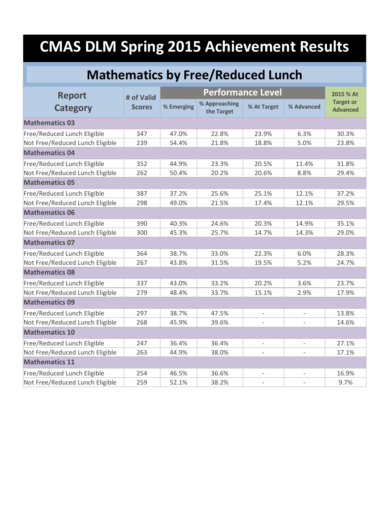### **Mathematics by Free/Reduced Lunch**

| <b>Report</b>                   | # of Valid    |            |                             | 2015 % At           |                          |                                     |
|---------------------------------|---------------|------------|-----------------------------|---------------------|--------------------------|-------------------------------------|
| <b>Category</b>                 | <b>Scores</b> | % Emerging | % Approaching<br>the Target | % At Target         | % Advanced               | <b>Target or</b><br><b>Advanced</b> |
| <b>Mathematics 03</b>           |               |            |                             |                     |                          |                                     |
| Free/Reduced Lunch Eligible     | 347           | 47.0%      | 22.8%                       | 23.9%               | 6.3%                     | 30.3%                               |
| Not Free/Reduced Lunch Eligible | 239           | 54.4%      | 21.8%                       | 18.8%               | 5.0%                     | 23.8%                               |
| <b>Mathematics 04</b>           |               |            |                             |                     |                          |                                     |
| Free/Reduced Lunch Eligible     | 352           | 44.9%      | 23.3%                       | 20.5%               | 11.4%                    | 31.8%                               |
| Not Free/Reduced Lunch Eligible | 262           | 50.4%      | 20.2%                       | 20.6%               | 8.8%                     | 29.4%                               |
| <b>Mathematics 05</b>           |               |            |                             |                     |                          |                                     |
| Free/Reduced Lunch Eligible     | 387           | 37.2%      | 25.6%                       | 25.1%               | 12.1%                    | 37.2%                               |
| Not Free/Reduced Lunch Eligible | 298           | 49.0%      | 21.5%                       | 17.4%               | 12.1%                    | 29.5%                               |
| <b>Mathematics 06</b>           |               |            |                             |                     |                          |                                     |
| Free/Reduced Lunch Eligible     | 390           | 40.3%      | 24.6%                       | 20.3%               | 14.9%                    | 35.1%                               |
| Not Free/Reduced Lunch Eligible | 300           | 45.3%      | 25.7%                       | 14.7%               | 14.3%                    | 29.0%                               |
| <b>Mathematics 07</b>           |               |            |                             |                     |                          |                                     |
| Free/Reduced Lunch Eligible     | 364           | 38.7%      | 33.0%                       | 22.3%               | 6.0%                     | 28.3%                               |
| Not Free/Reduced Lunch Eligible | 267           | 43.8%      | 31.5%                       | 19.5%               | 5.2%                     | 24.7%                               |
| <b>Mathematics 08</b>           |               |            |                             |                     |                          |                                     |
| Free/Reduced Lunch Eligible     | 337           | 43.0%      | 33.2%                       | 20.2%               | 3.6%                     | 23.7%                               |
| Not Free/Reduced Lunch Eligible | 279           | 48.4%      | 33.7%                       | 15.1%               | 2.9%                     | 17.9%                               |
| <b>Mathematics 09</b>           |               |            |                             |                     |                          |                                     |
| Free/Reduced Lunch Eligible     | 297           | 38.7%      | 47.5%                       |                     |                          | 13.8%                               |
| Not Free/Reduced Lunch Eligible | 268           | 45.9%      | 39.6%                       |                     |                          | 14.6%                               |
| <b>Mathematics 10</b>           |               |            |                             |                     |                          |                                     |
| Free/Reduced Lunch Eligible     | 247           | 36.4%      | 36.4%                       |                     |                          | 27.1%                               |
| Not Free/Reduced Lunch Eligible | 263           | 44.9%      | 38.0%                       | $\bar{\phantom{a}}$ |                          | 17.1%                               |
| <b>Mathematics 11</b>           |               |            |                             |                     |                          |                                     |
| Free/Reduced Lunch Eligible     | 254           | 46.5%      | 36.6%                       | $\bar{\phantom{a}}$ | $\overline{\phantom{a}}$ | 16.9%                               |
| Not Free/Reduced Lunch Eligible | 259           | 52.1%      | 38.2%                       |                     |                          | 9.7%                                |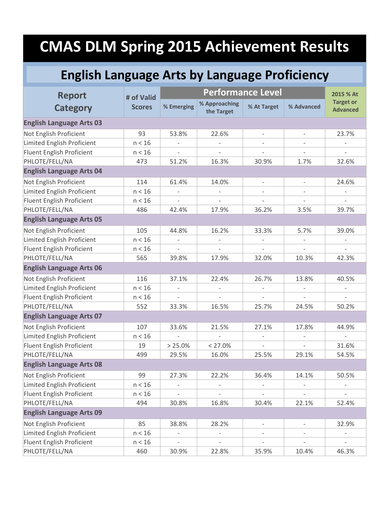### **English Language Arts by Language Proficiency**

| <b>Report</b>                     | # of Valid    |                          | <b>Performance Level</b>    |                          |                          |                                     |  |
|-----------------------------------|---------------|--------------------------|-----------------------------|--------------------------|--------------------------|-------------------------------------|--|
| <b>Category</b>                   | <b>Scores</b> | % Emerging               | % Approaching<br>the Target | % At Target              | % Advanced               | <b>Target or</b><br><b>Advanced</b> |  |
| <b>English Language Arts 03</b>   |               |                          |                             |                          |                          |                                     |  |
| Not English Proficient            | 93            | 53.8%                    | 22.6%                       | $\overline{\phantom{a}}$ | $\overline{\phantom{a}}$ | 23.7%                               |  |
| Limited English Proficient        | n < 16        |                          |                             |                          |                          | $\overline{\phantom{a}}$            |  |
| Fluent English Proficient         | n < 16        |                          |                             |                          |                          |                                     |  |
| PHLOTE/FELL/NA                    | 473           | 51.2%                    | 16.3%                       | 30.9%                    | 1.7%                     | 32.6%                               |  |
| <b>English Language Arts 04</b>   |               |                          |                             |                          |                          |                                     |  |
| Not English Proficient            | 114           | 61.4%                    | 14.0%                       | $\overline{\phantom{a}}$ | $\overline{\phantom{a}}$ | 24.6%                               |  |
| Limited English Proficient        | n < 16        |                          |                             |                          |                          |                                     |  |
| Fluent English Proficient         | n < 16        | $\overline{\phantom{a}}$ | $\overline{\phantom{a}}$    | $\bar{\phantom{a}}$      | $\overline{\phantom{a}}$ | $\overline{\phantom{a}}$            |  |
| PHLOTE/FELL/NA                    | 486           | 42.4%                    | 17.9%                       | 36.2%                    | 3.5%                     | 39.7%                               |  |
| <b>English Language Arts 05</b>   |               |                          |                             |                          |                          |                                     |  |
| Not English Proficient            | 105           | 44.8%                    | 16.2%                       | 33.3%                    | 5.7%                     | 39.0%                               |  |
| <b>Limited English Proficient</b> | n < 16        |                          |                             |                          |                          |                                     |  |
| Fluent English Proficient         | n < 16        |                          |                             |                          |                          |                                     |  |
| PHLOTE/FELL/NA                    | 565           | 39.8%                    | 17.9%                       | 32.0%                    | 10.3%                    | 42.3%                               |  |
| <b>English Language Arts 06</b>   |               |                          |                             |                          |                          |                                     |  |
| Not English Proficient            | 116           | 37.1%                    | 22.4%                       | 26.7%                    | 13.8%                    | 40.5%                               |  |
| Limited English Proficient        | n < 16        |                          |                             |                          |                          |                                     |  |
| Fluent English Proficient         | n < 16        |                          |                             |                          |                          | $\overline{\phantom{a}}$            |  |
| PHLOTE/FELL/NA                    | 552           | 33.3%                    | 16.5%                       | 25.7%                    | 24.5%                    | 50.2%                               |  |
| <b>English Language Arts 07</b>   |               |                          |                             |                          |                          |                                     |  |
| Not English Proficient            | 107           | 33.6%                    | 21.5%                       | 27.1%                    | 17.8%                    | 44.9%                               |  |
| Limited English Proficient        | n < 16        |                          |                             |                          |                          | $\overline{\phantom{a}}$            |  |
| Fluent English Proficient         | 19            | $> 25.0\%$               | $< 27.0\%$                  |                          |                          | 31.6%                               |  |
| PHLOTE/FELL/NA                    | 499           | 29.5%                    | 16.0%                       | 25.5%                    | 29.1%                    | 54.5%                               |  |
| <b>English Language Arts 08</b>   |               |                          |                             |                          |                          |                                     |  |
| Not English Proficient            | 99            | 27.3%                    | 22.2%                       | 36.4%                    | 14.1%                    | 50.5%                               |  |
| Limited English Proficient        | n < 16        | $\overline{\phantom{0}}$ |                             | $\overline{\phantom{0}}$ |                          | $\qquad \qquad -$                   |  |
| Fluent English Proficient         | n < 16        |                          |                             | $\overline{\phantom{0}}$ | $\overline{\phantom{0}}$ | $\qquad \qquad -$                   |  |
| PHLOTE/FELL/NA                    | 494           | 30.8%                    | 16.8%                       | 30.4%                    | 22.1%                    | 52.4%                               |  |
| <b>English Language Arts 09</b>   |               |                          |                             |                          |                          |                                     |  |
| Not English Proficient            | 85            | 38.8%                    | 28.2%                       | $\overline{\phantom{0}}$ | $\overline{\phantom{0}}$ | 32.9%                               |  |
| <b>Limited English Proficient</b> | n < 16        |                          |                             | $\overline{\phantom{0}}$ |                          |                                     |  |
| Fluent English Proficient         | n < 16        | $\overline{\phantom{a}}$ | $\overline{\phantom{a}}$    | $\qquad \qquad -$        | $\qquad \qquad -$        | $\qquad \qquad -$                   |  |
| PHLOTE/FELL/NA                    | 460           | 30.9%                    | 22.8%                       | 35.9%                    | 10.4%                    | 46.3%                               |  |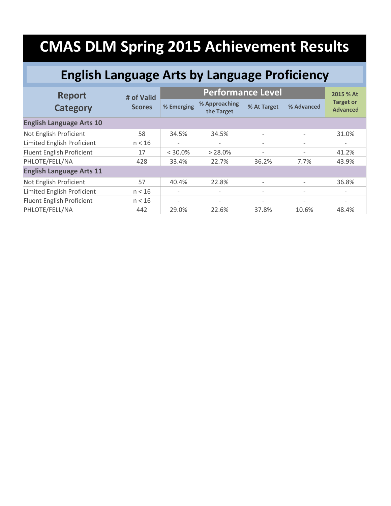### **English Language Arts by Language Proficiency**

| <b>Report</b>                   | # of Valid    |            | <b>Performance Level</b>    |                          |                          |                                     |  |  |
|---------------------------------|---------------|------------|-----------------------------|--------------------------|--------------------------|-------------------------------------|--|--|
| <b>Category</b>                 | <b>Scores</b> | % Emerging | % Approaching<br>the Target | % At Target              | % Advanced               | <b>Target or</b><br><b>Advanced</b> |  |  |
| <b>English Language Arts 10</b> |               |            |                             |                          |                          |                                     |  |  |
| Not English Proficient          | 58            | 34.5%      | 34.5%                       | $\overline{\phantom{a}}$ | $\overline{\phantom{a}}$ | 31.0%                               |  |  |
| Limited English Proficient      | n < 16        |            |                             | $\overline{\phantom{a}}$ | $\overline{\phantom{a}}$ |                                     |  |  |
| Fluent English Proficient       | 17            | $<$ 30.0%  | $> 28.0\%$                  | $\overline{\phantom{a}}$ |                          | 41.2%                               |  |  |
| PHLOTE/FELL/NA                  | 428           | 33.4%      | 22.7%                       | 36.2%                    | 7.7%                     | 43.9%                               |  |  |
| <b>English Language Arts 11</b> |               |            |                             |                          |                          |                                     |  |  |
| Not English Proficient          | 57            | 40.4%      | 22.8%                       | $\overline{\phantom{a}}$ |                          | 36.8%                               |  |  |
| Limited English Proficient      | n < 16        |            |                             | $\overline{\phantom{a}}$ | $\overline{\phantom{a}}$ | $\overline{\phantom{a}}$            |  |  |
| Fluent English Proficient       | n < 16        |            | $\overline{\phantom{a}}$    | $\overline{\phantom{a}}$ | $\overline{\phantom{a}}$ | $\overline{\phantom{a}}$            |  |  |
| PHLOTE/FELL/NA                  | 442           | 29.0%      | 22.6%                       | 37.8%                    | 10.6%                    | 48.4%                               |  |  |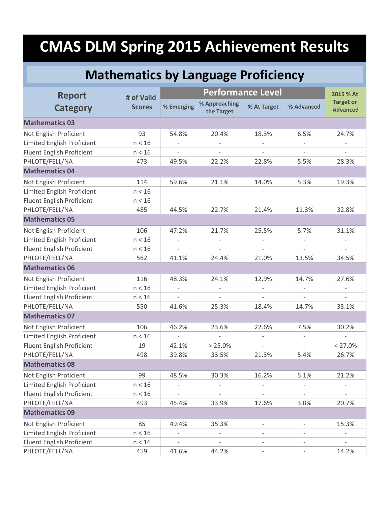#### **Mathematics by Language Proficiency**

| <b>Report</b>                     | <b>Performance Level</b><br># of Valid |                          |                             |                          |                          | 2015 % At                           |
|-----------------------------------|----------------------------------------|--------------------------|-----------------------------|--------------------------|--------------------------|-------------------------------------|
| <b>Category</b>                   | <b>Scores</b>                          | % Emerging               | % Approaching<br>the Target | % At Target              | % Advanced               | <b>Target or</b><br><b>Advanced</b> |
| <b>Mathematics 03</b>             |                                        |                          |                             |                          |                          |                                     |
| Not English Proficient            | 93                                     | 54.8%                    | 20.4%                       | 18.3%                    | 6.5%                     | 24.7%                               |
| Limited English Proficient        | n < 16                                 | $\overline{\phantom{a}}$ | $\sim$                      | $\overline{\phantom{a}}$ |                          |                                     |
| Fluent English Proficient         | n < 16                                 |                          |                             |                          |                          |                                     |
| PHLOTE/FELL/NA                    | 473                                    | 49.5%                    | 22.2%                       | 22.8%                    | 5.5%                     | 28.3%                               |
| <b>Mathematics 04</b>             |                                        |                          |                             |                          |                          |                                     |
| Not English Proficient            | 114                                    | 59.6%                    | 21.1%                       | 14.0%                    | 5.3%                     | 19.3%                               |
| Limited English Proficient        | n < 16                                 |                          |                             |                          |                          |                                     |
| Fluent English Proficient         | n < 16                                 | $\overline{\phantom{a}}$ | $\overline{\phantom{a}}$    | $\overline{\phantom{a}}$ | $\overline{\phantom{a}}$ | $\overline{\phantom{a}}$            |
| PHLOTE/FELL/NA                    | 485                                    | 44.5%                    | 22.7%                       | 21.4%                    | 11.3%                    | 32.8%                               |
| <b>Mathematics 05</b>             |                                        |                          |                             |                          |                          |                                     |
| Not English Proficient            | 106                                    | 47.2%                    | 21.7%                       | 25.5%                    | 5.7%                     | 31.1%                               |
| <b>Limited English Proficient</b> | n < 16                                 |                          |                             |                          |                          |                                     |
| Fluent English Proficient         | n < 16                                 |                          |                             |                          |                          |                                     |
| PHLOTE/FELL/NA                    | 562                                    | 41.1%                    | 24.4%                       | 21.0%                    | 13.5%                    | 34.5%                               |
| <b>Mathematics 06</b>             |                                        |                          |                             |                          |                          |                                     |
| Not English Proficient            | 116                                    | 48.3%                    | 24.1%                       | 12.9%                    | 14.7%                    | 27.6%                               |
| Limited English Proficient        | n < 16                                 | $\overline{\phantom{a}}$ | $\overline{\phantom{a}}$    | $\overline{\phantom{a}}$ | $\overline{\phantom{a}}$ | $\overline{\phantom{a}}$            |
| <b>Fluent English Proficient</b>  | n < 16                                 |                          |                             |                          |                          |                                     |
| PHLOTE/FELL/NA                    | 550                                    | 41.6%                    | 25.3%                       | 18.4%                    | 14.7%                    | 33.1%                               |
| <b>Mathematics 07</b>             |                                        |                          |                             |                          |                          |                                     |
| Not English Proficient            | 106                                    | 46.2%                    | 23.6%                       | 22.6%                    | 7.5%                     | 30.2%                               |
| Limited English Proficient        | n < 16                                 |                          |                             |                          |                          | $\overline{\phantom{a}}$            |
| Fluent English Proficient         | 19                                     | 42.1%                    | $> 25.0\%$                  | $\overline{\phantom{a}}$ | $\overline{\phantom{a}}$ | < 27.0%                             |
| PHLOTE/FELL/NA                    | 498                                    | 39.8%                    | 33.5%                       | 21.3%                    | 5.4%                     | 26.7%                               |
| <b>Mathematics 08</b>             |                                        |                          |                             |                          |                          |                                     |
| Not English Proficient            | 99                                     | 48.5%                    | 30.3%                       | 16.2%                    | 5.1%                     | 21.2%                               |
| <b>Limited English Proficient</b> | n < 16                                 | $\overline{\phantom{a}}$ |                             | $\overline{\phantom{0}}$ | $\overline{\phantom{a}}$ | $\qquad \qquad -$                   |
| Fluent English Proficient         | n < 16                                 |                          |                             |                          |                          |                                     |
| PHLOTE/FELL/NA                    | 493                                    | 45.4%                    | 33.9%                       | 17.6%                    | 3.0%                     | 20.7%                               |
| <b>Mathematics 09</b>             |                                        |                          |                             |                          |                          |                                     |
| Not English Proficient            | 85                                     | 49.4%                    | 35.3%                       | $\overline{\phantom{0}}$ | $\overline{\phantom{a}}$ | 15.3%                               |
| Limited English Proficient        | n < 16                                 |                          |                             | $\overline{\phantom{0}}$ | $\qquad \qquad -$        |                                     |
| Fluent English Proficient         | n < 16                                 | $\overline{\phantom{a}}$ | $\overline{\phantom{a}}$    | $\overline{\phantom{a}}$ |                          | $\overline{\phantom{a}}$            |
| PHLOTE/FELL/NA                    | 459                                    | 41.6%                    | 44.2%                       | $\overline{\phantom{a}}$ | $\overline{\phantom{a}}$ | 14.2%                               |